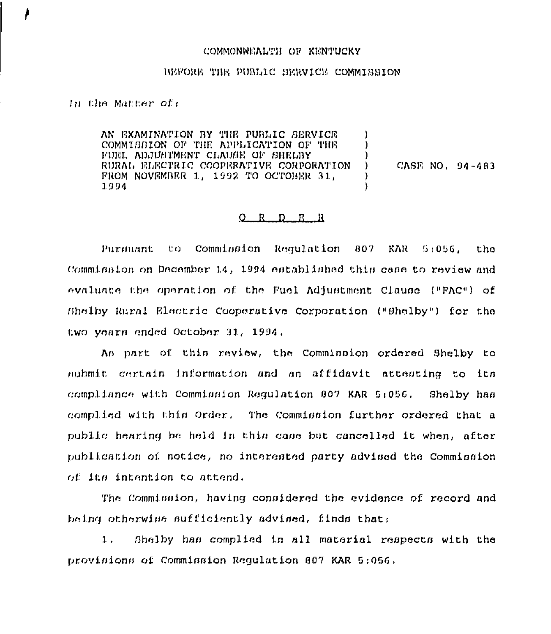## COMMONWEALTH OF KENTUCKY

## BEFORE THE PUBLIC SERVICE COMMISSION

## In the Matter of:

AN EXAMINATION BY THE PUBLIC SERVICE  $\lambda$ COMMISSION OF THE APPLICATION OF THE ) FUEL ADJUSTMENT CLAUSE OF SHELBY RURAL ELECTRIC COOPERATIVE CORPORATION CASE NO. 94-483  $\lambda$ FROM NOVEMBER 1, 1992 TO OCTOBER 31, 1994

## $Q$  R  $D$  E R

Pursuant to Commission Requlation 807 KAR 5:056, the. Commission on December 14, 1994 established this case to review and evaluate the operation of the Fuel Adjustment Clause ("FAC") of Bhelby Rural Electric Cooperative Corporation ("Bhelby") for the two years ended October 31, 1994.

As part of this review, the Commission ordered Shelby to nubmit certain information and an affidavit attenting to its compliance with Commission Regulation 807 KAR 5:056. Shelby has complied with this Order. The Commission further ordered that a public hearing be held in this case but cancelled it when, after publication of notice, no interested party advised the Commission of its intention to attend.

The Commission, having considered the evidence of record and being otherwise sufficiently advised, finds that:

 $1.1$ Shelby has complied in all material respects with the provisions of Commission Regulation 807 KAR 5:056.